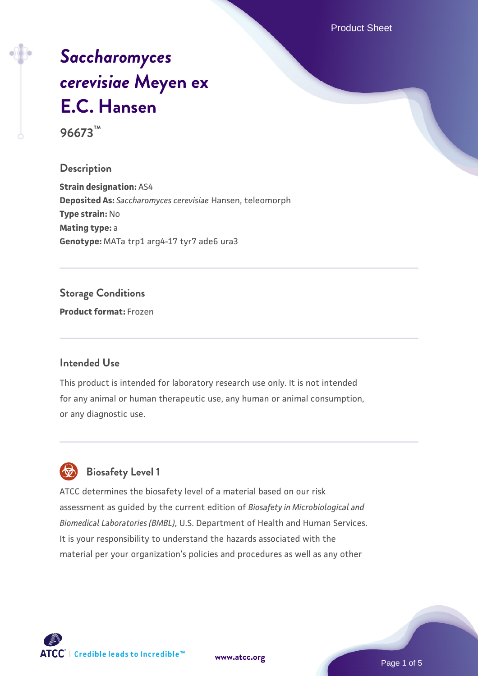Product Sheet

# *[Saccharomyces](https://www.atcc.org/products/96673) [cerevisiae](https://www.atcc.org/products/96673)* **[Meyen ex](https://www.atcc.org/products/96673) [E.C. Hansen](https://www.atcc.org/products/96673)**

**96673™**

#### **Description**

**Strain designation:** AS4 **Deposited As:** *Saccharomyces cerevisiae* Hansen, teleomorph **Type strain:** No **Mating type:** a **Genotype:** MATa trp1 arg4-17 tyr7 ade6 ura3

#### **Storage Conditions**

**Product format:** Frozen

#### **Intended Use**

This product is intended for laboratory research use only. It is not intended for any animal or human therapeutic use, any human or animal consumption, or any diagnostic use.



### **Biosafety Level 1**

ATCC determines the biosafety level of a material based on our risk assessment as guided by the current edition of *Biosafety in Microbiological and Biomedical Laboratories (BMBL)*, U.S. Department of Health and Human Services. It is your responsibility to understand the hazards associated with the material per your organization's policies and procedures as well as any other



**[www.atcc.org](http://www.atcc.org)**

Page 1 of 5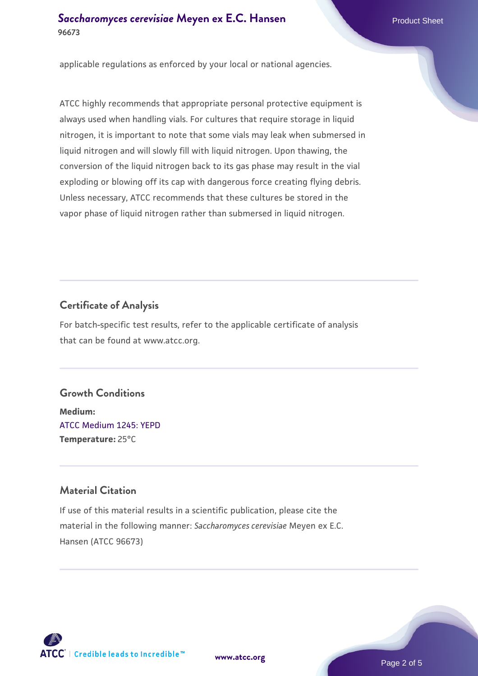#### **[Saccharomyces cerevisiae](https://www.atcc.org/products/96673)** [Meyen ex E.C. Hansen](https://www.atcc.org/products/96673) **96673**

applicable regulations as enforced by your local or national agencies.

ATCC highly recommends that appropriate personal protective equipment is always used when handling vials. For cultures that require storage in liquid nitrogen, it is important to note that some vials may leak when submersed in liquid nitrogen and will slowly fill with liquid nitrogen. Upon thawing, the conversion of the liquid nitrogen back to its gas phase may result in the vial exploding or blowing off its cap with dangerous force creating flying debris. Unless necessary, ATCC recommends that these cultures be stored in the vapor phase of liquid nitrogen rather than submersed in liquid nitrogen.

#### **Certificate of Analysis**

For batch-specific test results, refer to the applicable certificate of analysis that can be found at www.atcc.org.

#### **Growth Conditions**

**Medium:**  [ATCC Medium 1245: YEPD](https://www.atcc.org/-/media/product-assets/documents/microbial-media-formulations/1/2/4/5/atcc-medium-1245.pdf?rev=705ca55d1b6f490a808a965d5c072196) **Temperature:** 25°C

#### **Material Citation**

If use of this material results in a scientific publication, please cite the material in the following manner: *Saccharomyces cerevisiae* Meyen ex E.C. Hansen (ATCC 96673)



**[www.atcc.org](http://www.atcc.org)**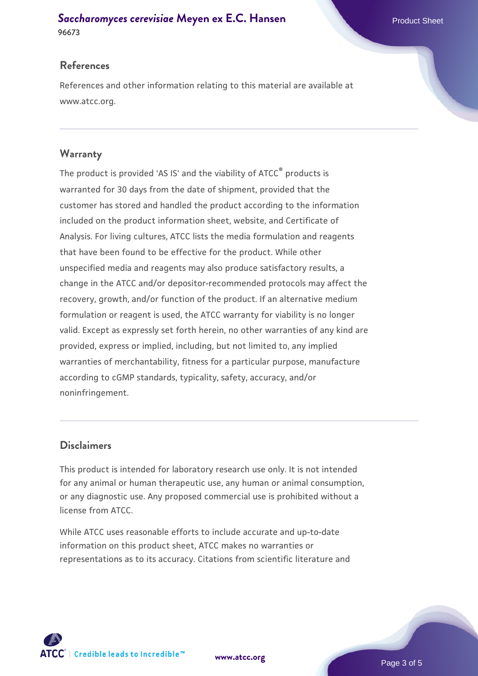#### **[Saccharomyces cerevisiae](https://www.atcc.org/products/96673)** [Meyen ex E.C. Hansen](https://www.atcc.org/products/96673) **96673**

#### **References**

References and other information relating to this material are available at www.atcc.org.

#### **Warranty**

The product is provided 'AS IS' and the viability of ATCC® products is warranted for 30 days from the date of shipment, provided that the customer has stored and handled the product according to the information included on the product information sheet, website, and Certificate of Analysis. For living cultures, ATCC lists the media formulation and reagents that have been found to be effective for the product. While other unspecified media and reagents may also produce satisfactory results, a change in the ATCC and/or depositor-recommended protocols may affect the recovery, growth, and/or function of the product. If an alternative medium formulation or reagent is used, the ATCC warranty for viability is no longer valid. Except as expressly set forth herein, no other warranties of any kind are provided, express or implied, including, but not limited to, any implied warranties of merchantability, fitness for a particular purpose, manufacture according to cGMP standards, typicality, safety, accuracy, and/or noninfringement.

#### **Disclaimers**

This product is intended for laboratory research use only. It is not intended for any animal or human therapeutic use, any human or animal consumption, or any diagnostic use. Any proposed commercial use is prohibited without a license from ATCC.

While ATCC uses reasonable efforts to include accurate and up-to-date information on this product sheet, ATCC makes no warranties or representations as to its accuracy. Citations from scientific literature and



**[www.atcc.org](http://www.atcc.org)**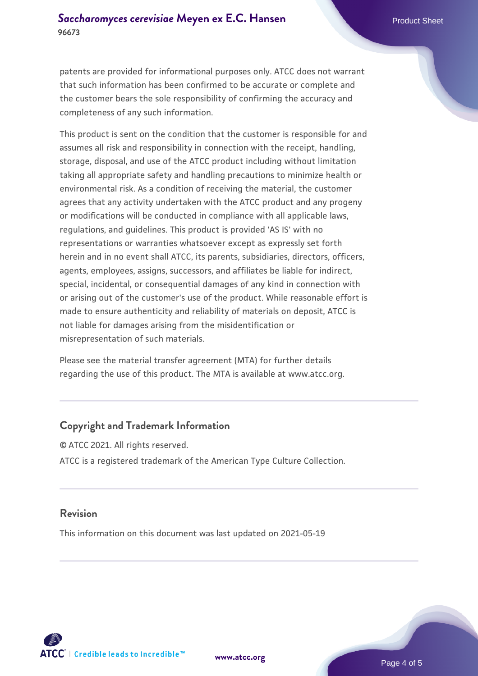patents are provided for informational purposes only. ATCC does not warrant that such information has been confirmed to be accurate or complete and the customer bears the sole responsibility of confirming the accuracy and completeness of any such information.

This product is sent on the condition that the customer is responsible for and assumes all risk and responsibility in connection with the receipt, handling, storage, disposal, and use of the ATCC product including without limitation taking all appropriate safety and handling precautions to minimize health or environmental risk. As a condition of receiving the material, the customer agrees that any activity undertaken with the ATCC product and any progeny or modifications will be conducted in compliance with all applicable laws, regulations, and guidelines. This product is provided 'AS IS' with no representations or warranties whatsoever except as expressly set forth herein and in no event shall ATCC, its parents, subsidiaries, directors, officers, agents, employees, assigns, successors, and affiliates be liable for indirect, special, incidental, or consequential damages of any kind in connection with or arising out of the customer's use of the product. While reasonable effort is made to ensure authenticity and reliability of materials on deposit, ATCC is not liable for damages arising from the misidentification or misrepresentation of such materials.

Please see the material transfer agreement (MTA) for further details regarding the use of this product. The MTA is available at www.atcc.org.

#### **Copyright and Trademark Information**

© ATCC 2021. All rights reserved. ATCC is a registered trademark of the American Type Culture Collection.

#### **Revision**

This information on this document was last updated on 2021-05-19



**[www.atcc.org](http://www.atcc.org)**

Page 4 of 5